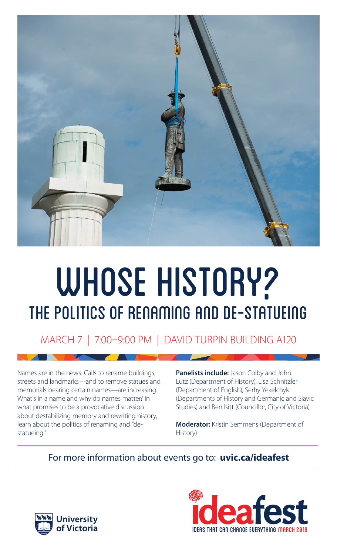

# WHOSE HISTORY? The politics of renaming and de-statueing

### MARCH 7 | 7:00–9:00 PM | DAVID TURPIN BUILDING A120

Names are in the news. Calls to rename buildings, streets and landmarks—and to remove statues and memorials bearing certain names—are increasing. What's in a name and why do names matter? In what promises to be a provocative discussion about destabilizing memory and rewriting history, learn about the politics of renaming and "destatueing."

**Panelists include:** Jason Colby and John Lutz (Department of History), Lisa Schnitzler (Department of English), Serhy Yekelchyk (Departments of History and Germanic and Slavic Studies) and Ben Isitt (Councillor, City of Victoria)

**Moderator:** Kristin Semmens (Department of History)

#### For more information about events go to: **uvic.ca/ideafest**